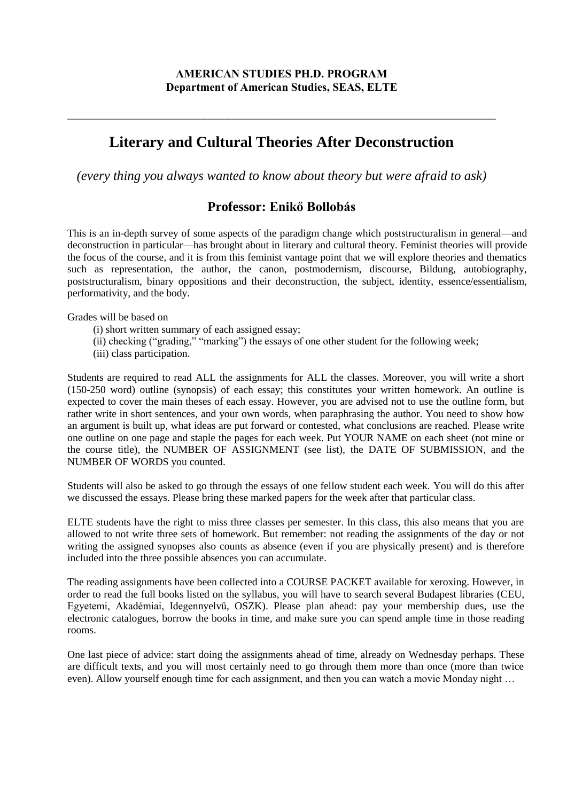# **Literary and Cultural Theories After Deconstruction**

 $\_$  , and the contribution of the contribution of  $\mathcal{L}_\mathcal{A}$  , and the contribution of  $\mathcal{L}_\mathcal{A}$ 

*(every thing you always wanted to know about theory but were afraid to ask)*

# **Professor: Enikő Bollobás**

This is an in-depth survey of some aspects of the paradigm change which poststructuralism in general—and deconstruction in particular—has brought about in literary and cultural theory. Feminist theories will provide the focus of the course, and it is from this feminist vantage point that we will explore theories and thematics such as representation, the author, the canon, postmodernism, discourse, Bildung, autobiography, poststructuralism, binary oppositions and their deconstruction, the subject, identity, essence/essentialism, performativity, and the body.

Grades will be based on

- (i) short written summary of each assigned essay;
- (ii) checking ("grading," "marking") the essays of one other student for the following week;
- (iii) class participation.

Students are required to read ALL the assignments for ALL the classes. Moreover, you will write a short (150-250 word) outline (synopsis) of each essay; this constitutes your written homework. An outline is expected to cover the main theses of each essay. However, you are advised not to use the outline form, but rather write in short sentences, and your own words, when paraphrasing the author. You need to show how an argument is built up, what ideas are put forward or contested, what conclusions are reached. Please write one outline on one page and staple the pages for each week. Put YOUR NAME on each sheet (not mine or the course title), the NUMBER OF ASSIGNMENT (see list), the DATE OF SUBMISSION, and the NUMBER OF WORDS you counted.

Students will also be asked to go through the essays of one fellow student each week. You will do this after we discussed the essays. Please bring these marked papers for the week after that particular class.

ELTE students have the right to miss three classes per semester. In this class, this also means that you are allowed to not write three sets of homework. But remember: not reading the assignments of the day or not writing the assigned synopses also counts as absence (even if you are physically present) and is therefore included into the three possible absences you can accumulate.

The reading assignments have been collected into a COURSE PACKET available for xeroxing. However, in order to read the full books listed on the syllabus, you will have to search several Budapest libraries (CEU, Egyetemi, Akadémiai, Idegennyelvű, OSZK). Please plan ahead: pay your membership dues, use the electronic catalogues, borrow the books in time, and make sure you can spend ample time in those reading rooms.

One last piece of advice: start doing the assignments ahead of time, already on Wednesday perhaps. These are difficult texts, and you will most certainly need to go through them more than once (more than twice even). Allow yourself enough time for each assignment, and then you can watch a movie Monday night ...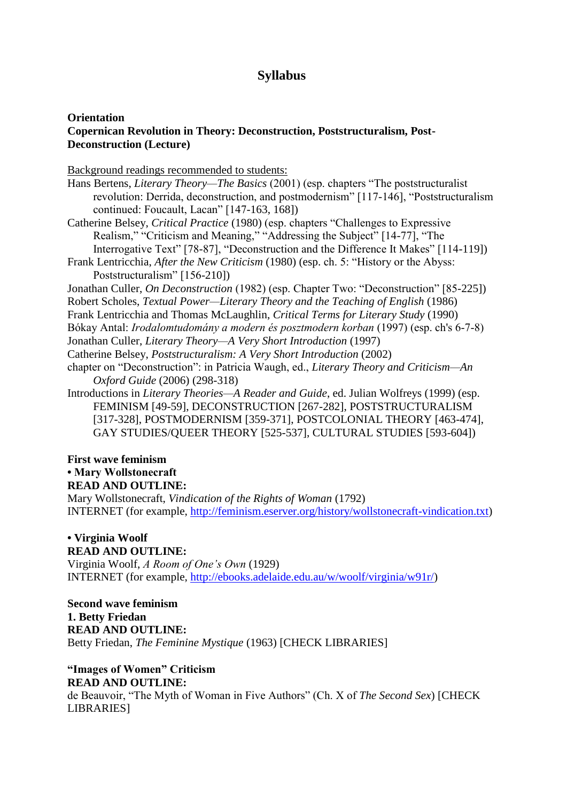# **Syllabus**

#### **Orientation Copernican Revolution in Theory: Deconstruction, Poststructuralism, Post-Deconstruction (Lecture)**

Background readings recommended to students:

- Hans Bertens, *Literary Theory—The Basics* (2001) (esp. chapters "The poststructuralist revolution: Derrida, deconstruction, and postmodernism" [117-146], "Poststructuralism continued: Foucault, Lacan" [147-163, 168])
- Catherine Belsey, *Critical Practice* (1980) (esp. chapters "Challenges to Expressive Realism," "Criticism and Meaning," "Addressing the Subject" [14-77], "The Interrogative Text" [78-87], "Deconstruction and the Difference It Makes" [114-119])
- Frank Lentricchia, *After the New Criticism* (1980) (esp. ch. 5: "History or the Abyss: Poststructuralism" [156-210])
- Jonathan Culler, *On Deconstruction* (1982) (esp. Chapter Two: "Deconstruction" [85-225])
- Robert Scholes, *Textual Power—Literary Theory and the Teaching of English* (1986)
- Frank Lentricchia and Thomas McLaughlin, *Critical Terms for Literary Study* (1990)
- Bókay Antal: *Irodalomtudomány a modern és posztmodern korban* (1997) (esp. ch's 6-7-8)
- Jonathan Culler, *Literary Theory—A Very Short Introduction* (1997)
- Catherine Belsey, *Poststructuralism: A Very Short Introduction* (2002)
- chapter on "Deconstruction": in Patricia Waugh, ed., *Literary Theory and Criticism—An Oxford Guide* (2006) (298-318)
- Introductions in *Literary Theories—A Reader and Guide*, ed. Julian Wolfreys (1999) (esp. FEMINISM [49-59], DECONSTRUCTION [267-282], POSTSTRUCTURALISM [317-328], POSTMODERNISM [359-371], POSTCOLONIAL THEORY [463-474], GAY STUDIES/QUEER THEORY [525-537], CULTURAL STUDIES [593-604])

# **First wave feminism**

# **• Mary Wollstonecraft**

**READ AND OUTLINE:**

Mary Wollstonecraft, *Vindication of the Rights of Woman* (1792) INTERNET (for example, http://feminism.eserver.org/history/wollstonecraft-vindication.txt)

# **• Virginia Woolf**

#### **READ AND OUTLINE:**

Virginia Woolf, *A Room of One's Own* (1929) INTERNET (for example, http://ebooks.adelaide.edu.au/w/woolf/virginia/w91r/)

**Second wave feminism 1. Betty Friedan READ AND OUTLINE:** Betty Friedan, *The Feminine Mystique* (1963) [CHECK LIBRARIES]

# **"Images of Women" Criticism**

# **READ AND OUTLINE:**

de Beauvoir, "The Myth of Woman in Five Authors" (Ch. X of *The Second Sex*) [CHECK LIBRARIES]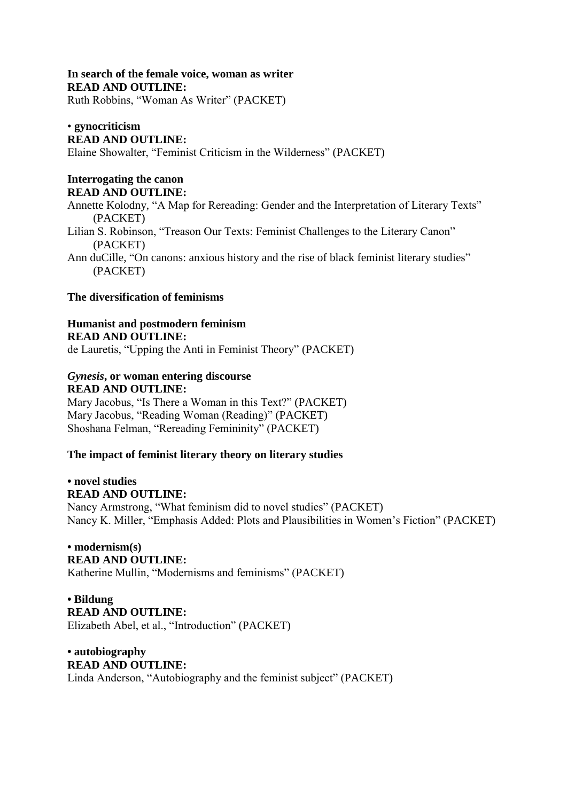# **In search of the female voice, woman as writer READ AND OUTLINE:**

Ruth Robbins, "Woman As Writer" (PACKET)

### • **gynocriticism**

### **READ AND OUTLINE:**

Elaine Showalter, "Feminist Criticism in the Wilderness" (PACKET)

### **Interrogating the canon READ AND OUTLINE:**

Annette Kolodny, "A Map for Rereading: Gender and the Interpretation of Literary Texts" (PACKET)

Lilian S. Robinson, "Treason Our Texts: Feminist Challenges to the Literary Canon" (PACKET)

Ann duCille, "On canons: anxious history and the rise of black feminist literary studies" (PACKET)

### **The diversification of feminisms**

# **Humanist and postmodern feminism READ AND OUTLINE:**

de Lauretis, "Upping the Anti in Feminist Theory" (PACKET)

# *Gynesis***, or woman entering discourse READ AND OUTLINE:**

Mary Jacobus, "Is There a Woman in this Text?" (PACKET) Mary Jacobus, "Reading Woman (Reading)" (PACKET) Shoshana Felman, "Rereading Femininity" (PACKET)

# **The impact of feminist literary theory on literary studies**

#### **• novel studies READ AND OUTLINE:**

Nancy Armstrong, "What feminism did to novel studies" (PACKET) Nancy K. Miller, "Emphasis Added: Plots and Plausibilities in Women's Fiction" (PACKET)

# **• modernism(s) READ AND OUTLINE:**

Katherine Mullin, "Modernisms and feminisms" (PACKET)

# **• Bildung READ AND OUTLINE:**

Elizabeth Abel, et al., "Introduction" (PACKET)

#### **• autobiography READ AND OUTLINE:**

Linda Anderson, "Autobiography and the feminist subject" (PACKET)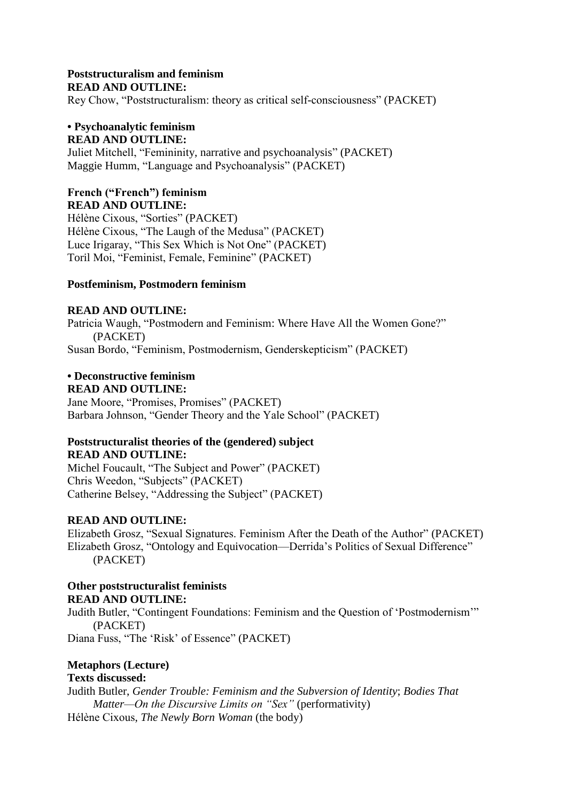### **Poststructuralism and feminism READ AND OUTLINE:**

Rey Chow, "Poststructuralism: theory as critical self-consciousness" (PACKET)

### **• Psychoanalytic feminism READ AND OUTLINE:**

Juliet Mitchell, "Femininity, narrative and psychoanalysis" (PACKET) Maggie Humm, "Language and Psychoanalysis" (PACKET)

#### **French ("French") feminism READ AND OUTLINE:**

Hélène Cixous, "Sorties" (PACKET) Hélène Cixous, "The Laugh of the Medusa" (PACKET) Luce Irigaray, "This Sex Which is Not One" (PACKET) Toril Moi, "Feminist, Female, Feminine" (PACKET)

### **Postfeminism, Postmodern feminism**

### **READ AND OUTLINE:**

Patricia Waugh, "Postmodern and Feminism: Where Have All the Women Gone?" (PACKET) Susan Bordo, "Feminism, Postmodernism, Genderskepticism" (PACKET)

### **• Deconstructive feminism READ AND OUTLINE:**

Jane Moore, "Promises, Promises" (PACKET) Barbara Johnson, "Gender Theory and the Yale School" (PACKET)

# **Poststructuralist theories of the (gendered) subject READ AND OUTLINE:**

Michel Foucault, "The Subject and Power" (PACKET) Chris Weedon, "Subjects" (PACKET) Catherine Belsey, "Addressing the Subject" (PACKET)

# **READ AND OUTLINE:**

Elizabeth Grosz, "Sexual Signatures. Feminism After the Death of the Author" (PACKET) Elizabeth Grosz, "Ontology and Equivocation—Derrida's Politics of Sexual Difference" (PACKET)

#### **Other poststructuralist feminists READ AND OUTLINE:**

Judith Butler, "Contingent Foundations: Feminism and the Question of 'Postmodernism'" (PACKET)

Diana Fuss, "The 'Risk' of Essence" (PACKET)

# **Metaphors (Lecture)**

# **Texts discussed:**

Judith Butler, *Gender Trouble: Feminism and the Subversion of Identity*; *Bodies That Matter—On the Discursive Limits on "Sex"* (performativity) Hélène Cixous, *The Newly Born Woman* (the body)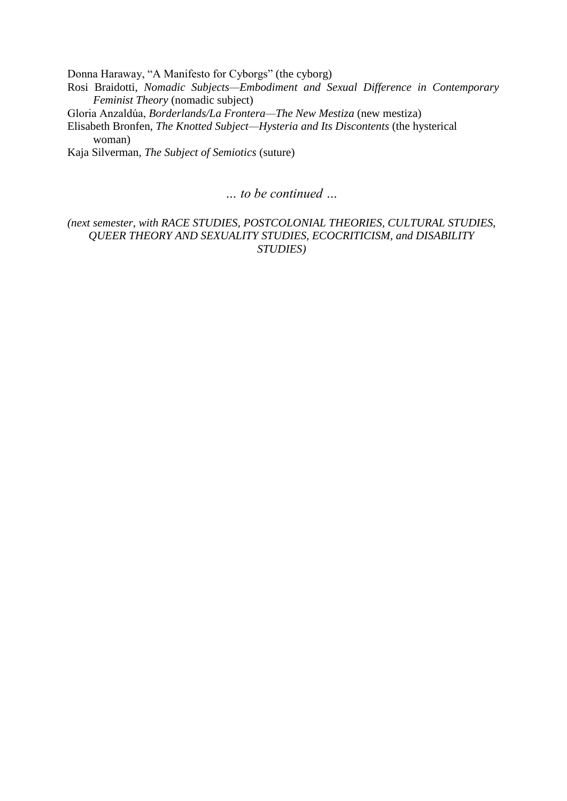Donna Haraway, "A Manifesto for Cyborgs" (the cyborg)

Rosi Braidotti, *Nomadic Subjects—Embodiment and Sexual Difference in Contemporary Feminist Theory* (nomadic subject)

Gloria Anzaldúa, *Borderlands/La Frontera—The New Mestiza* (new mestiza)

Elisabeth Bronfen, *The Knotted Subject—Hysteria and Its Discontents* (the hysterical woman)

Kaja Silverman, *The Subject of Semiotics* (suture)

*… to be continued …*

*(next semester, with RACE STUDIES, POSTCOLONIAL THEORIES, CULTURAL STUDIES, QUEER THEORY AND SEXUALITY STUDIES, ECOCRITICISM, and DISABILITY STUDIES)*